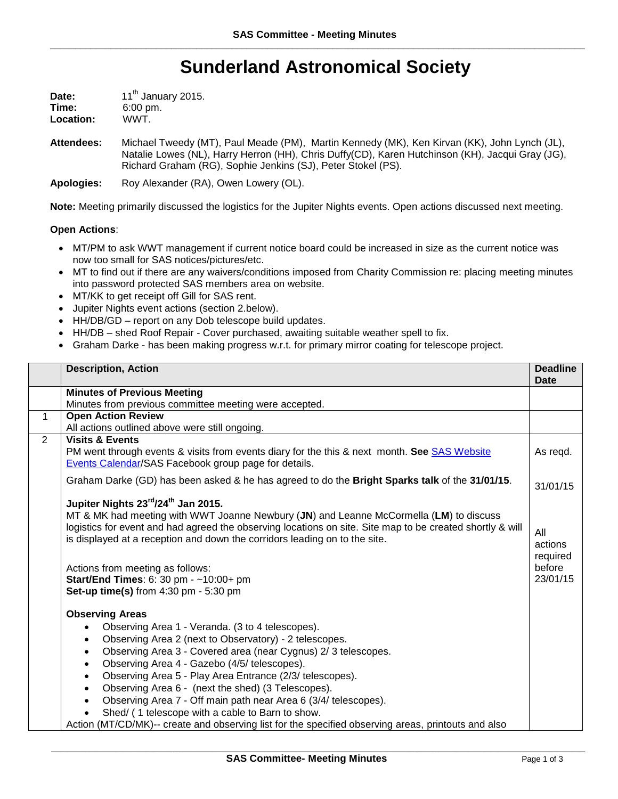## **Sunderland Astronomical Society**

| Date:     | 11 <sup>th</sup> January 2015. |
|-----------|--------------------------------|
| Time:     | $6:00 \text{ pm}$ .            |
| Location: | WWT.                           |

**Attendees:** Michael Tweedy (MT), Paul Meade (PM), Martin Kennedy (MK), Ken Kirvan (KK), John Lynch (JL), Natalie Lowes (NL), Harry Herron (HH), Chris Duffy(CD), Karen Hutchinson (KH), Jacqui Gray (JG), Richard Graham (RG), Sophie Jenkins (SJ), Peter Stokel (PS).

**Apologies:** Roy Alexander (RA), Owen Lowery (OL).

**Note:** Meeting primarily discussed the logistics for the Jupiter Nights events. Open actions discussed next meeting.

## **Open Actions**:

- MT/PM to ask WWT management if current notice board could be increased in size as the current notice was now too small for SAS notices/pictures/etc.
- MT to find out if there are any waivers/conditions imposed from Charity Commission re: placing meeting minutes into password protected SAS members area on website.
- MT/KK to get receipt off Gill for SAS rent.
- Jupiter Nights event actions (section 2.below).
- HH/DB/GD report on any Dob telescope build updates.
- HH/DB shed Roof Repair Cover purchased, awaiting suitable weather spell to fix.
- Graham Darke has been making progress w.r.t. for primary mirror coating for telescope project.

|                | <b>Description, Action</b>                                                                                                                           | <b>Deadline</b><br><b>Date</b> |
|----------------|------------------------------------------------------------------------------------------------------------------------------------------------------|--------------------------------|
|                | <b>Minutes of Previous Meeting</b>                                                                                                                   |                                |
|                | Minutes from previous committee meeting were accepted.                                                                                               |                                |
| $\mathbf{1}$   | <b>Open Action Review</b>                                                                                                                            |                                |
|                | All actions outlined above were still ongoing.                                                                                                       |                                |
| $\overline{2}$ | <b>Visits &amp; Events</b>                                                                                                                           |                                |
|                | PM went through events & visits from events diary for the this & next month. See SAS Website<br>Events Calendar/SAS Facebook group page for details. | As regd.                       |
|                | Graham Darke (GD) has been asked & he has agreed to do the Bright Sparks talk of the 31/01/15.                                                       | 31/01/15                       |
|                | Jupiter Nights 23rd/24th Jan 2015.                                                                                                                   |                                |
|                | MT & MK had meeting with WWT Joanne Newbury (JN) and Leanne McCormella (LM) to discuss                                                               |                                |
|                | logistics for event and had agreed the observing locations on site. Site map to be created shortly & will                                            | All                            |
|                | is displayed at a reception and down the corridors leading on to the site.                                                                           | actions                        |
|                |                                                                                                                                                      | required                       |
|                | Actions from meeting as follows:                                                                                                                     | before                         |
|                | Start/End Times: 6: 30 pm - ~10:00+ pm                                                                                                               | 23/01/15                       |
|                | Set-up time(s) from 4:30 pm - 5:30 pm                                                                                                                |                                |
|                |                                                                                                                                                      |                                |
|                | <b>Observing Areas</b>                                                                                                                               |                                |
|                | Observing Area 1 - Veranda. (3 to 4 telescopes).                                                                                                     |                                |
|                | Observing Area 2 (next to Observatory) - 2 telescopes.<br>$\bullet$                                                                                  |                                |
|                | Observing Area 3 - Covered area (near Cygnus) 2/3 telescopes.<br>$\bullet$                                                                           |                                |
|                | Observing Area 4 - Gazebo (4/5/ telescopes).<br>$\bullet$                                                                                            |                                |
|                | Observing Area 5 - Play Area Entrance (2/3/ telescopes).<br>$\bullet$                                                                                |                                |
|                | Observing Area 6 - (next the shed) (3 Telescopes).<br>$\bullet$                                                                                      |                                |
|                | Observing Area 7 - Off main path near Area 6 (3/4/ telescopes).                                                                                      |                                |
|                | Shed/ (1 telescope with a cable to Barn to show.                                                                                                     |                                |
|                | Action (MT/CD/MK)-- create and observing list for the specified observing areas, printouts and also                                                  |                                |

\_\_\_\_\_\_\_\_\_\_\_\_\_\_\_\_\_\_\_\_\_\_\_\_\_\_\_\_\_\_\_\_\_\_\_\_\_\_\_\_\_\_\_\_\_\_\_\_\_\_\_\_\_\_\_\_\_\_\_\_\_\_\_\_\_\_\_\_\_\_\_\_\_\_\_\_\_\_\_\_\_\_\_\_\_\_\_\_\_\_\_\_\_\_\_\_\_\_\_\_\_\_\_\_\_\_\_\_\_\_\_\_\_\_\_\_\_\_\_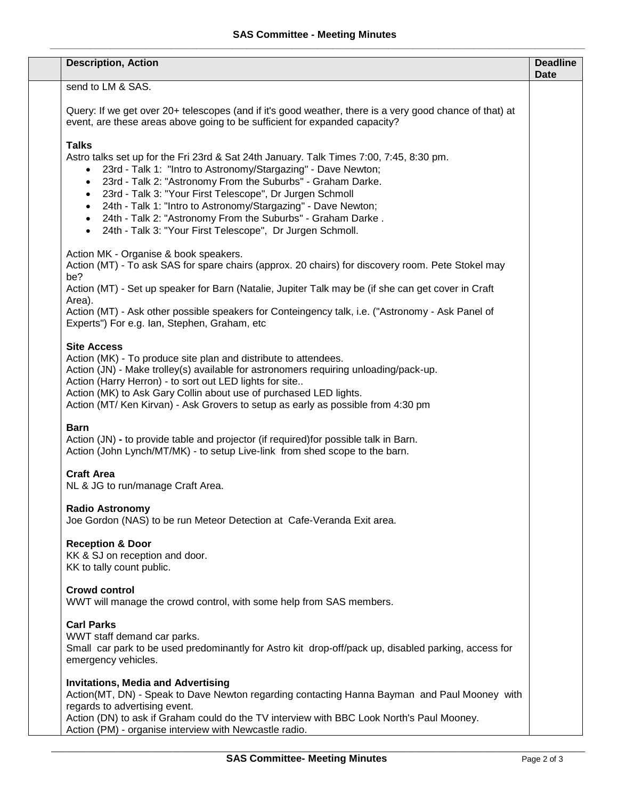| <b>Description, Action</b>                                                                                                                                                                                                                                                                                                                                                                                                                                                                                                                                                     | <b>Deadline</b><br><b>Date</b> |
|--------------------------------------------------------------------------------------------------------------------------------------------------------------------------------------------------------------------------------------------------------------------------------------------------------------------------------------------------------------------------------------------------------------------------------------------------------------------------------------------------------------------------------------------------------------------------------|--------------------------------|
| send to LM & SAS.                                                                                                                                                                                                                                                                                                                                                                                                                                                                                                                                                              |                                |
| Query: If we get over 20+ telescopes (and if it's good weather, there is a very good chance of that) at<br>event, are these areas above going to be sufficient for expanded capacity?                                                                                                                                                                                                                                                                                                                                                                                          |                                |
| <b>Talks</b><br>Astro talks set up for the Fri 23rd & Sat 24th January. Talk Times 7:00, 7:45, 8:30 pm.<br>23rd - Talk 1: "Intro to Astronomy/Stargazing" - Dave Newton;<br>$\bullet$<br>23rd - Talk 2: "Astronomy From the Suburbs" - Graham Darke.<br>$\bullet$<br>23rd - Talk 3: "Your First Telescope", Dr Jurgen Schmoll<br>$\bullet$<br>24th - Talk 1: "Intro to Astronomy/Stargazing" - Dave Newton;<br>$\bullet$<br>24th - Talk 2: "Astronomy From the Suburbs" - Graham Darke.<br>$\bullet$<br>24th - Talk 3: "Your First Telescope", Dr Jurgen Schmoll.<br>$\bullet$ |                                |
| Action MK - Organise & book speakers.<br>Action (MT) - To ask SAS for spare chairs (approx. 20 chairs) for discovery room. Pete Stokel may<br>be?                                                                                                                                                                                                                                                                                                                                                                                                                              |                                |
| Action (MT) - Set up speaker for Barn (Natalie, Jupiter Talk may be (if she can get cover in Craft                                                                                                                                                                                                                                                                                                                                                                                                                                                                             |                                |
| Area).<br>Action (MT) - Ask other possible speakers for Conteingency talk, i.e. ("Astronomy - Ask Panel of<br>Experts") For e.g. Ian, Stephen, Graham, etc                                                                                                                                                                                                                                                                                                                                                                                                                     |                                |
| <b>Site Access</b><br>Action (MK) - To produce site plan and distribute to attendees.<br>Action (JN) - Make trolley(s) available for astronomers requiring unloading/pack-up.<br>Action (Harry Herron) - to sort out LED lights for site<br>Action (MK) to Ask Gary Collin about use of purchased LED lights.<br>Action (MT/ Ken Kirvan) - Ask Grovers to setup as early as possible from 4:30 pm                                                                                                                                                                              |                                |
| <b>Barn</b><br>Action (JN) - to provide table and projector (if required) for possible talk in Barn.<br>Action (John Lynch/MT/MK) - to setup Live-link from shed scope to the barn.                                                                                                                                                                                                                                                                                                                                                                                            |                                |
| <b>Craft Area</b><br>NL & JG to run/manage Craft Area.                                                                                                                                                                                                                                                                                                                                                                                                                                                                                                                         |                                |
| <b>Radio Astronomy</b><br>Joe Gordon (NAS) to be run Meteor Detection at Cafe-Veranda Exit area.                                                                                                                                                                                                                                                                                                                                                                                                                                                                               |                                |
| <b>Reception &amp; Door</b><br>KK & SJ on reception and door.<br>KK to tally count public.                                                                                                                                                                                                                                                                                                                                                                                                                                                                                     |                                |
| <b>Crowd control</b><br>WWT will manage the crowd control, with some help from SAS members.                                                                                                                                                                                                                                                                                                                                                                                                                                                                                    |                                |
| <b>Carl Parks</b><br>WWT staff demand car parks.<br>Small car park to be used predominantly for Astro kit drop-off/pack up, disabled parking, access for<br>emergency vehicles.                                                                                                                                                                                                                                                                                                                                                                                                |                                |
| <b>Invitations, Media and Advertising</b><br>Action(MT, DN) - Speak to Dave Newton regarding contacting Hanna Bayman and Paul Mooney with<br>regards to advertising event.                                                                                                                                                                                                                                                                                                                                                                                                     |                                |
| Action (DN) to ask if Graham could do the TV interview with BBC Look North's Paul Mooney.<br>Action (PM) - organise interview with Newcastle radio.                                                                                                                                                                                                                                                                                                                                                                                                                            |                                |

\_\_\_\_\_\_\_\_\_\_\_\_\_\_\_\_\_\_\_\_\_\_\_\_\_\_\_\_\_\_\_\_\_\_\_\_\_\_\_\_\_\_\_\_\_\_\_\_\_\_\_\_\_\_\_\_\_\_\_\_\_\_\_\_\_\_\_\_\_\_\_\_\_\_\_\_\_\_\_\_\_\_\_\_\_\_\_\_\_\_\_\_\_\_\_\_\_\_\_\_\_\_\_\_\_\_\_\_\_\_\_\_\_\_\_\_\_\_\_